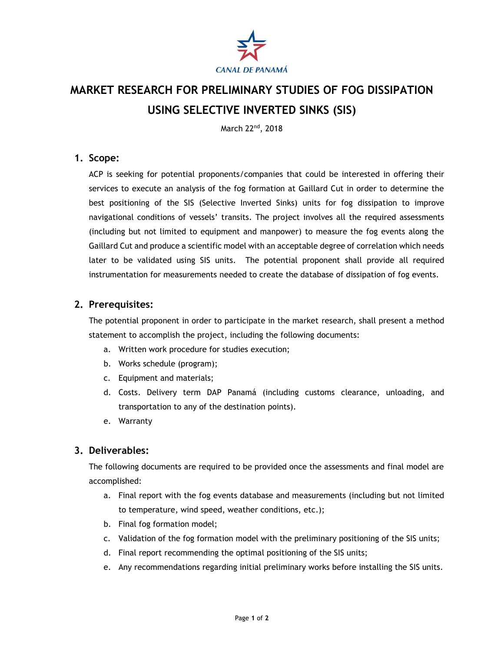

# **MARKET RESEARCH FOR PRELIMINARY STUDIES OF FOG DISSIPATION USING SELECTIVE INVERTED SINKS (SIS)**

March 22<sup>nd</sup>, 2018

#### **1. Scope:**

ACP is seeking for potential proponents/companies that could be interested in offering their services to execute an analysis of the fog formation at Gaillard Cut in order to determine the best positioning of the SIS (Selective Inverted Sinks) units for fog dissipation to improve navigational conditions of vessels' transits. The project involves all the required assessments (including but not limited to equipment and manpower) to measure the fog events along the Gaillard Cut and produce a scientific model with an acceptable degree of correlation which needs later to be validated using SIS units. The potential proponent shall provide all required instrumentation for measurements needed to create the database of dissipation of fog events.

### **2. Prerequisites:**

The potential proponent in order to participate in the market research, shall present a method statement to accomplish the project, including the following documents:

- a. Written work procedure for studies execution;
- b. Works schedule (program);
- c. Equipment and materials;
- d. Costs. Delivery term DAP Panamá (including customs clearance, unloading, and transportation to any of the destination points).
- e. Warranty

#### **3. Deliverables:**

The following documents are required to be provided once the assessments and final model are accomplished:

- a. Final report with the fog events database and measurements (including but not limited to temperature, wind speed, weather conditions, etc.);
- b. Final fog formation model;
- c. Validation of the fog formation model with the preliminary positioning of the SIS units;
- d. Final report recommending the optimal positioning of the SIS units;
- e. Any recommendations regarding initial preliminary works before installing the SIS units.